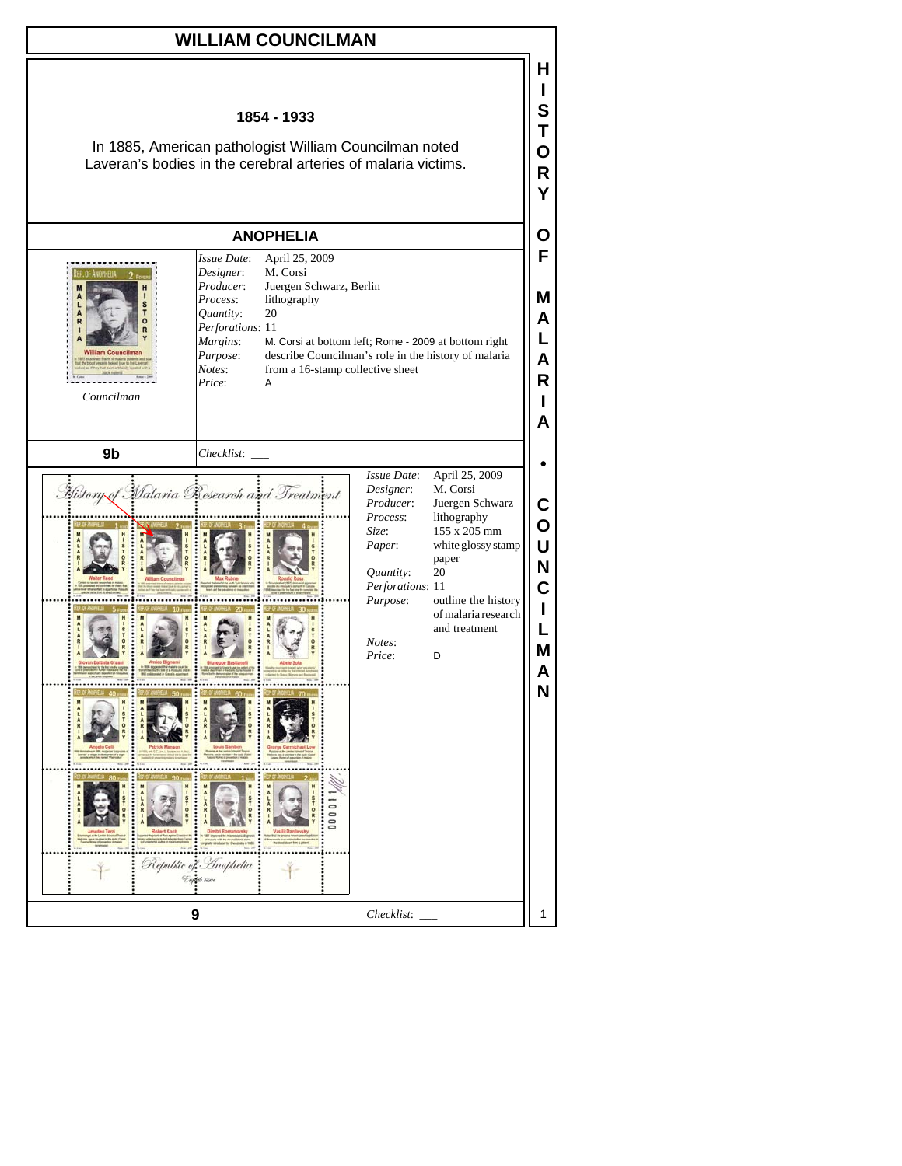